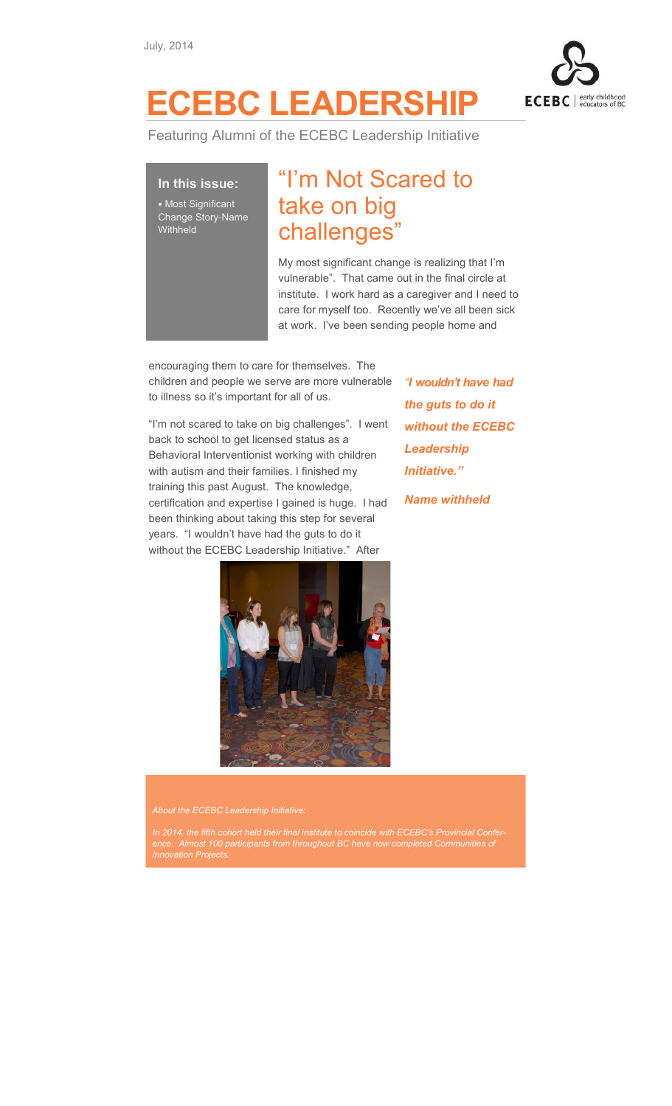

## ECEBC LEADERSHIP

Featuring Alumni of the ECEBC Leadership Initiative

In this issue: • Most Significant Change Story-Name **Withheld** 

## "I'm Not Scared to take on big challenges"

My most significant change is realizing that I'm vulnerable". That came out in the final circle at institute. I work hard as a caregiver and I need to care for myself too. Recently we've all been sick at work. I've been sending people home and

encouraging them to care for themselves. The children and people we serve are more vulnerable to illness so it's important for all of us.

"I'm not scared to take on big challenges". I went back to school to get licensed status as a Behavioral Interventionist working with children with autism and their families. I finished my training this past August. The knowledge, certification and expertise I gained is huge. I had been thinking about taking this step for several years. "I wouldn't have had the guts to do it without the ECEBC Leadership Initiative." After

"I wouldn't have had the guts to do it without the ECEBC Leadership Initiative."

Name withheld



About the ECEBC Leadership Initiative

In 2014, the fifth cohort held their final institute to coincide with ECEBC's Provincial Conference. Almost 100 participants from throughout BC have now completed Communities of Innovation Projects.